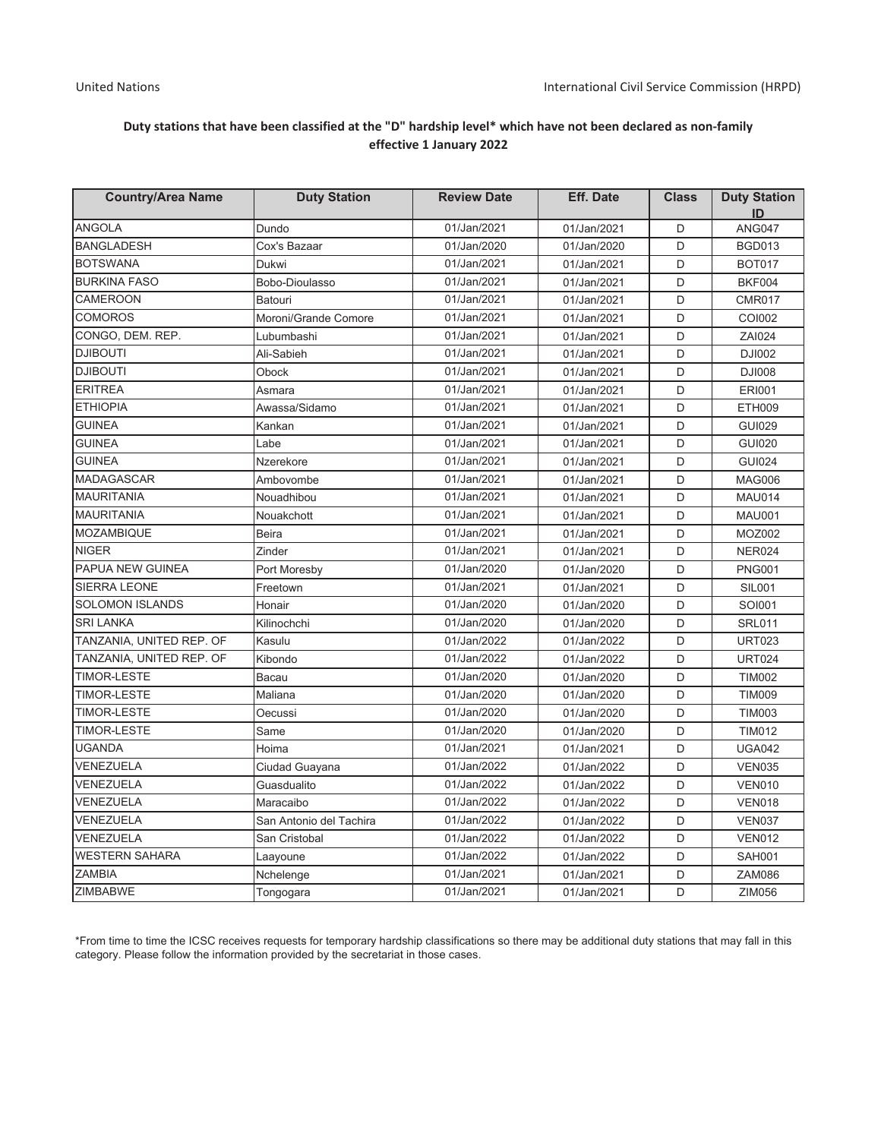## Duty stations that have been classified at the "D" hardship level\* which have not been declared as non-family effective 1 January 2022

| <b>Country/Area Name</b> | <b>Duty Station</b>      | <b>Review Date</b> | <b>Eff. Date</b> | <b>Class</b> | <b>Duty Station</b> |
|--------------------------|--------------------------|--------------------|------------------|--------------|---------------------|
| <b>ANGOLA</b>            | Dundo                    | 01/Jan/2021        | 01/Jan/2021      | D            | ID<br><b>ANG047</b> |
| <b>BANGLADESH</b>        | Cox's Bazaar             | 01/Jan/2020        | 01/Jan/2020      | D            | <b>BGD013</b>       |
| <b>BOTSWANA</b>          | Dukwi                    | 01/Jan/2021        | 01/Jan/2021      | D            | <b>BOT017</b>       |
| <b>BURKINA FASO</b>      | Bobo-Dioulasso           | 01/Jan/2021        | 01/Jan/2021      | D            | <b>BKF004</b>       |
| <b>CAMEROON</b>          | <b>Batouri</b>           | 01/Jan/2021        | 01/Jan/2021      | D            | <b>CMR017</b>       |
| <b>COMOROS</b>           | Moroni/Grande Comore     | 01/Jan/2021        | 01/Jan/2021      | D            | COI002              |
| CONGO, DEM. REP.         | Lubumbashi               | 01/Jan/2021        | 01/Jan/2021      | D            | ZAI024              |
| <b>DJIBOUTI</b>          | Ali-Sabieh               | 01/Jan/2021        | 01/Jan/2021      | D            | <b>DJI002</b>       |
| <b>DJIBOUTI</b>          | Obock                    | 01/Jan/2021        | 01/Jan/2021      | D            | <b>DJI008</b>       |
| <b>ERITREA</b>           | Asmara                   | 01/Jan/2021        | 01/Jan/2021      | D            | <b>ERI001</b>       |
| <b>ETHIOPIA</b>          | Awassa/Sidamo            | 01/Jan/2021        | 01/Jan/2021      | D            | <b>ETH009</b>       |
| <b>GUINEA</b>            | Kankan                   | 01/Jan/2021        | 01/Jan/2021      | D            | <b>GUI029</b>       |
| <b>GUINEA</b>            | Labe                     | 01/Jan/2021        | 01/Jan/2021      | D            | <b>GUI020</b>       |
| <b>GUINEA</b>            | Nzerekore                | 01/Jan/2021        | 01/Jan/2021      | D            | <b>GUI024</b>       |
| <b>MADAGASCAR</b>        | Ambovombe                | 01/Jan/2021        | 01/Jan/2021      | D            | <b>MAG006</b>       |
| <b>MAURITANIA</b>        | Nouadhibou               | 01/Jan/2021        | 01/Jan/2021      | D            | <b>MAU014</b>       |
| <b>MAURITANIA</b>        | Nouakchott               | 01/Jan/2021        | 01/Jan/2021      | D            | <b>MAU001</b>       |
| <b>MOZAMBIQUE</b>        | <b>Beira</b>             | 01/Jan/2021        | 01/Jan/2021      | D            | <b>MOZ002</b>       |
| <b>NIGER</b>             | Zinder                   | 01/Jan/2021        | 01/Jan/2021      | D            | <b>NER024</b>       |
| PAPUA NEW GUINEA         |                          | 01/Jan/2020        | 01/Jan/2020      | D            | <b>PNG001</b>       |
| <b>SIERRA LEONE</b>      | Port Moresby<br>Freetown | 01/Jan/2021        | 01/Jan/2021      | D            | <b>SIL001</b>       |
| <b>SOLOMON ISLANDS</b>   | Honair                   | 01/Jan/2020        | 01/Jan/2020      | D            | <b>SOI001</b>       |
| <b>SRI LANKA</b>         | Kilinochchi              | 01/Jan/2020        | 01/Jan/2020      | D            | <b>SRL011</b>       |
| TANZANIA, UNITED REP. OF | Kasulu                   | 01/Jan/2022        | 01/Jan/2022      | D            | <b>URT023</b>       |
| TANZANIA, UNITED REP. OF | Kibondo                  | 01/Jan/2022        | 01/Jan/2022      | D            | <b>URT024</b>       |
| <b>TIMOR-LESTE</b>       | <b>Bacau</b>             | 01/Jan/2020        | 01/Jan/2020      | D            | <b>TIM002</b>       |
| <b>TIMOR-LESTE</b>       | Maliana                  | 01/Jan/2020        | 01/Jan/2020      | D            | <b>TIM009</b>       |
| <b>TIMOR-LESTE</b>       | Oecussi                  | 01/Jan/2020        | 01/Jan/2020      | D            | <b>TIM003</b>       |
| <b>TIMOR-LESTE</b>       | Same                     | 01/Jan/2020        | 01/Jan/2020      | D            | <b>TIM012</b>       |
| <b>UGANDA</b>            | Hoima                    | 01/Jan/2021        | 01/Jan/2021      | D            | <b>UGA042</b>       |
| VENEZUELA                | Ciudad Guayana           | 01/Jan/2022        | 01/Jan/2022      | D            | <b>VEN035</b>       |
| VENEZUELA                | Guasdualito              | 01/Jan/2022        | 01/Jan/2022      | D            | <b>VEN010</b>       |
| VENEZUELA                | Maracaibo                | 01/Jan/2022        | 01/Jan/2022      | D            | <b>VEN018</b>       |
| VENEZUELA                | San Antonio del Tachira  | 01/Jan/2022        | 01/Jan/2022      | D            | <b>VEN037</b>       |
| VENEZUELA                | San Cristobal            | 01/Jan/2022        | 01/Jan/2022      | D            | <b>VEN012</b>       |
| <b>WESTERN SAHARA</b>    | Laayoune                 | 01/Jan/2022        | 01/Jan/2022      | D            | <b>SAH001</b>       |
| <b>ZAMBIA</b>            | Nchelenge                | 01/Jan/2021        | 01/Jan/2021      | D            | <b>ZAM086</b>       |
| ZIMBABWE                 | Tongogara                | 01/Jan/2021        | 01/Jan/2021      | D            | ZIM056              |
|                          |                          |                    |                  |              |                     |

\*From time to time the ICSC receives requests for temporary hardship classifications so there may be additional duty stations that may fall in this category. Please follow the information provided by the secretariat in those cases.